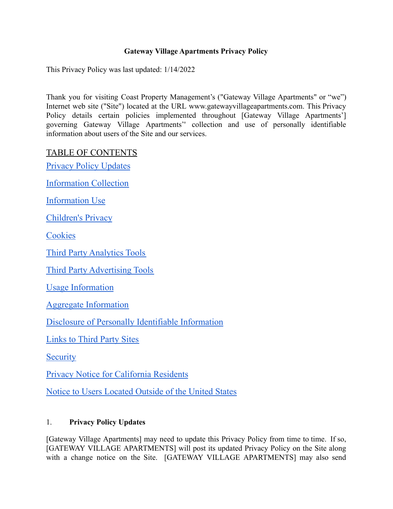## **Gateway Village Apartments Privacy Policy**

This Privacy Policy was last updated: 1/14/2022

Thank you for visiting Coast Property Management's ("Gateway Village Apartments" or "we") Internet web site ("Site") located at the URL www.gatewayvillageapartments.com. This Privacy Policy details certain policies implemented throughout [Gateway Village Apartments'] governing Gateway Village Apartments'' collection and use of personally identifiable information about users of the Site and our services.

TABLE OF CONTENTS

Privacy Policy [Updates](#page-0-0)

[Information](#page-1-0) Collection

[Information](#page-1-1) Use

[Children's](#page-1-2) Privacy

**[Cookies](#page-1-3)** 

Third Party [Analytics](#page-2-0) Tools

Third Party [Advertising](#page-2-1) Tools

Usage [Information](#page-2-2)

Aggregate [Information](#page-3-0)

Disclosure of Personally Identifiable [Information](#page-3-1)

[Links](#page-3-2) to Third Party Sites

**[Security](#page-4-0)** 

Privacy Notice for [California](#page-4-1) Residents

Notice to Users [Located](#page-9-0) Outside of the United States

# <span id="page-0-0"></span>1. **Privacy Policy Updates**

[Gateway Village Apartments] may need to update this Privacy Policy from time to time. If so, [GATEWAY VILLAGE APARTMENTS] will post its updated Privacy Policy on the Site along with a change notice on the Site. [GATEWAY VILLAGE APARTMENTS] may also send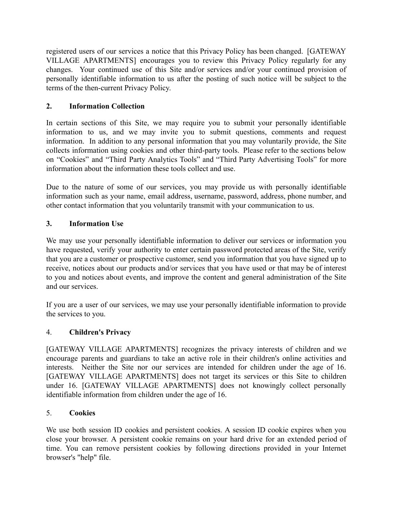registered users of our services a notice that this Privacy Policy has been changed. [GATEWAY VILLAGE APARTMENTS] encourages you to review this Privacy Policy regularly for any changes. Your continued use of this Site and/or services and/or your continued provision of personally identifiable information to us after the posting of such notice will be subject to the terms of the then-current Privacy Policy.

# <span id="page-1-0"></span>**2. Information Collection**

In certain sections of this Site, we may require you to submit your personally identifiable information to us, and we may invite you to submit questions, comments and request information. In addition to any personal information that you may voluntarily provide, the Site collects information using cookies and other third-party tools. Please refer to the sections below on "Cookies" and "Third Party Analytics Tools" and "Third Party Advertising Tools" for more information about the information these tools collect and use.

Due to the nature of some of our services, you may provide us with personally identifiable information such as your name, email address, username, password, address, phone number, and other contact information that you voluntarily transmit with your communication to us.

# <span id="page-1-1"></span>**3. Information Use**

We may use your personally identifiable information to deliver our services or information you have requested, verify your authority to enter certain password protected areas of the Site, verify that you are a customer or prospective customer, send you information that you have signed up to receive, notices about our products and/or services that you have used or that may be of interest to you and notices about events, and improve the content and general administration of the Site and our services.

If you are a user of our services, we may use your personally identifiable information to provide the services to you.

# <span id="page-1-2"></span>4. **Children's Privacy**

[GATEWAY VILLAGE APARTMENTS] recognizes the privacy interests of children and we encourage parents and guardians to take an active role in their children's online activities and interests. Neither the Site nor our services are intended for children under the age of 16. [GATEWAY VILLAGE APARTMENTS] does not target its services or this Site to children under 16. [GATEWAY VILLAGE APARTMENTS] does not knowingly collect personally identifiable information from children under the age of 16.

## <span id="page-1-3"></span>5. **Cookies**

We use both session ID cookies and persistent cookies. A session ID cookie expires when you close your browser. A persistent cookie remains on your hard drive for an extended period of time. You can remove persistent cookies by following directions provided in your Internet browser's "help" file.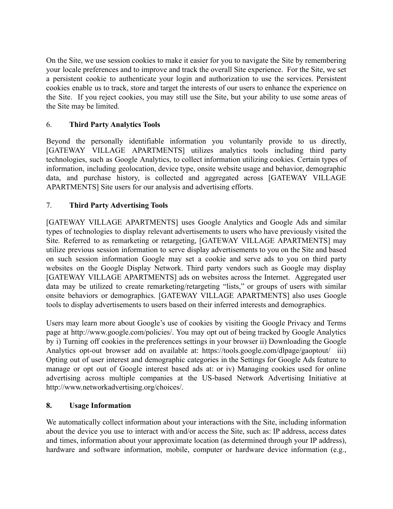On the Site, we use session cookies to make it easier for you to navigate the Site by remembering your locale preferences and to improve and track the overall Site experience. For the Site, we set a persistent cookie to authenticate your login and authorization to use the services. Persistent cookies enable us to track, store and target the interests of our users to enhance the experience on the Site. If you reject cookies, you may still use the Site, but your ability to use some areas of the Site may be limited.

# <span id="page-2-0"></span>6. **Third Party Analytics Tools**

Beyond the personally identifiable information you voluntarily provide to us directly, [GATEWAY VILLAGE APARTMENTS] utilizes analytics tools including third party technologies, such as Google Analytics, to collect information utilizing cookies. Certain types of information, including geolocation, device type, onsite website usage and behavior, demographic data, and purchase history, is collected and aggregated across [GATEWAY VILLAGE APARTMENTS] Site users for our analysis and advertising efforts.

# <span id="page-2-1"></span>7. **Third Party Advertising Tools**

[GATEWAY VILLAGE APARTMENTS] uses Google Analytics and Google Ads and similar types of technologies to display relevant advertisements to users who have previously visited the Site. Referred to as remarketing or retargeting, [GATEWAY VILLAGE APARTMENTS] may utilize previous session information to serve display advertisements to you on the Site and based on such session information Google may set a cookie and serve ads to you on third party websites on the Google Display Network. Third party vendors such as Google may display [GATEWAY VILLAGE APARTMENTS] ads on websites across the Internet. Aggregated user data may be utilized to create remarketing/retargeting "lists," or groups of users with similar onsite behaviors or demographics. [GATEWAY VILLAGE APARTMENTS] also uses Google tools to display advertisements to users based on their inferred interests and demographics.

Users may learn more about Google's use of cookies by visiting the Google Privacy and Terms page at http://www.google.com/policies/. You may opt out of being tracked by Google Analytics by i) Turning off cookies in the preferences settings in your browser ii) Downloading the Google Analytics opt-out browser add on available at: https://tools.google.com/dlpage/gaoptout/ iii) Opting out of user interest and demographic categories in the Settings for Google Ads feature to manage or opt out of Google interest based ads at: or iv) Managing cookies used for online advertising across multiple companies at the US-based Network Advertising Initiative at http://www.networkadvertising.org/choices/.

# <span id="page-2-2"></span>**8. Usage Information**

We automatically collect information about your interactions with the Site, including information about the device you use to interact with and/or access the Site, such as: IP address, access dates and times, information about your approximate location (as determined through your IP address), hardware and software information, mobile, computer or hardware device information (e.g.,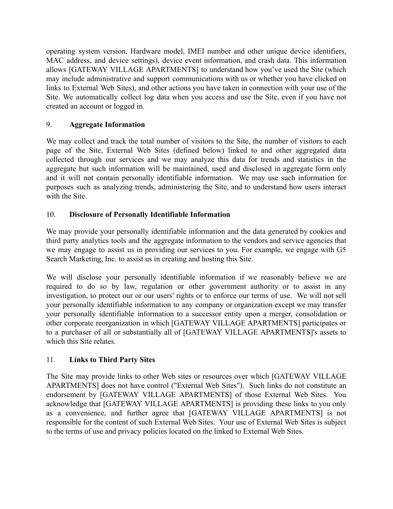operating system version, Hardware model, IMEI number and other unique device identifiers, MAC address, and device settings), device event information, and crash data. This information allows [GATEWAY VILLAGE APARTMENTS] to understand how you've used the Site (which may include administrative and support communications with us or whether you have clicked on links to External Web Sites), and other actions you have taken in connection with your use of the Site. We automatically collect log data when you access and use the Site, even if you have not created an account or logged in.

# <span id="page-3-0"></span>9. **Aggregate Information**

We may collect and track the total number of visitors to the Site, the number of visitors to each page of the Site, External Web Sites (defined below) linked to and other aggregated data collected through our services and we may analyze this data for trends and statistics in the aggregate but such information will be maintained, used and disclosed in aggregate form only and it will not contain personally identifiable information. We may use such information for purposes such as analyzing trends, administering the Site, and to understand how users interact with the Site.

# <span id="page-3-1"></span>10. **Disclosure of Personally Identifiable Information**

We may provide your personally identifiable information and the data generated by cookies and third party analytics tools and the aggregate information to the vendors and service agencies that we may engage to assist us in providing our services to you. For example, we engage with G5 Search Marketing, Inc. to assist us in creating and hosting this Site.

We will disclose your personally identifiable information if we reasonably believe we are required to do so by law, regulation or other government authority or to assist in any investigation, to protect our or our users' rights or to enforce our terms of use. We will not sell your personally identifiable information to any company or organization except we may transfer your personally identifiable information to a successor entity upon a merger, consolidation or other corporate reorganization in which [GATEWAY VILLAGE APARTMENTS] participates or to a purchaser of all or substantially all of [GATEWAY VILLAGE APARTMENTS]'s assets to which this Site relates.

# <span id="page-3-2"></span>11. **Links to Third Party Sites**

The Site may provide links to other Web sites or resources over which [GATEWAY VILLAGE APARTMENTS] does not have control ("External Web Sites"). Such links do not constitute an endorsement by [GATEWAY VILLAGE APARTMENTS] of those External Web Sites. You acknowledge that [GATEWAY VILLAGE APARTMENTS] is providing these links to you only as a convenience, and further agree that [GATEWAY VILLAGE APARTMENTS] is not responsible for the content of such External Web Sites. Your use of External Web Sites is subject to the terms of use and privacy policies located on the linked to External Web Sites.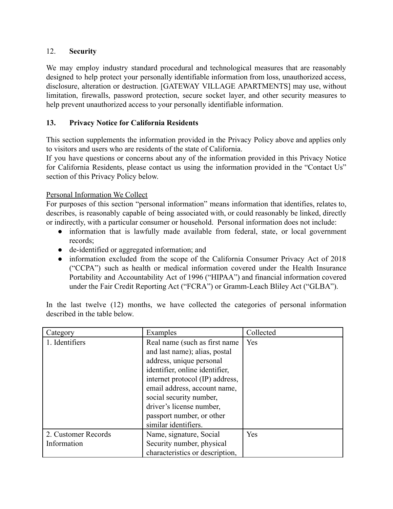## <span id="page-4-0"></span>12. **Security**

We may employ industry standard procedural and technological measures that are reasonably designed to help protect your personally identifiable information from loss, unauthorized access, disclosure, alteration or destruction. [GATEWAY VILLAGE APARTMENTS] may use, without limitation, firewalls, password protection, secure socket layer, and other security measures to help prevent unauthorized access to your personally identifiable information.

## <span id="page-4-1"></span>**13. Privacy Notice for California Residents**

This section supplements the information provided in the Privacy Policy above and applies only to visitors and users who are residents of the state of California.

If you have questions or concerns about any of the information provided in this Privacy Notice for California Residents, please contact us using the information provided in the "Contact Us" section of this Privacy Policy below.

## Personal Information We Collect

For purposes of this section "personal information" means information that identifies, relates to, describes, is reasonably capable of being associated with, or could reasonably be linked, directly or indirectly, with a particular consumer or household. Personal information does not include:

- information that is lawfully made available from federal, state, or local government records;
- de-identified or aggregated information; and
- information excluded from the scope of the California Consumer Privacy Act of 2018 ("CCPA") such as health or medical information covered under the Health Insurance Portability and Accountability Act of 1996 ("HIPAA") and financial information covered under the Fair Credit Reporting Act ("FCRA") or Gramm-Leach Bliley Act ("GLBA").

In the last twelve (12) months, we have collected the categories of personal information described in the table below.

| Category            | Examples                        | Collected |  |
|---------------------|---------------------------------|-----------|--|
| 1. Identifiers      | Real name (such as first name)  | Yes       |  |
|                     | and last name); alias, postal   |           |  |
|                     | address, unique personal        |           |  |
|                     | identifier, online identifier,  |           |  |
|                     | internet protocol (IP) address, |           |  |
|                     | email address, account name,    |           |  |
|                     | social security number,         |           |  |
|                     | driver's license number,        |           |  |
|                     | passport number, or other       |           |  |
|                     | similar identifiers.            |           |  |
| 2. Customer Records | Name, signature, Social         | Yes       |  |
| Information         | Security number, physical       |           |  |
|                     | characteristics or description, |           |  |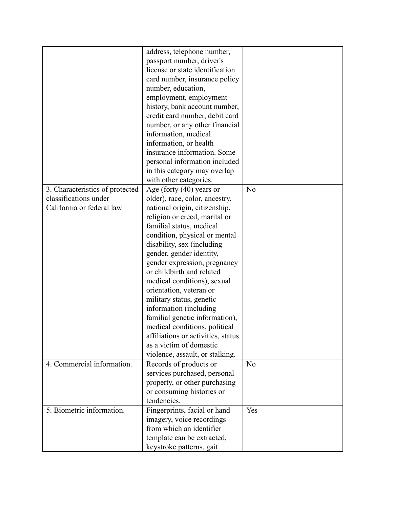|                                 | address, telephone number,         |                |
|---------------------------------|------------------------------------|----------------|
|                                 | passport number, driver's          |                |
|                                 | license or state identification    |                |
|                                 | card number, insurance policy      |                |
|                                 | number, education,                 |                |
|                                 | employment, employment             |                |
|                                 |                                    |                |
|                                 | history, bank account number,      |                |
|                                 | credit card number, debit card     |                |
|                                 | number, or any other financial     |                |
|                                 | information, medical               |                |
|                                 | information, or health             |                |
|                                 | insurance information. Some        |                |
|                                 | personal information included      |                |
|                                 | in this category may overlap       |                |
|                                 | with other categories.             |                |
| 3. Characteristics of protected | Age (forty $(40)$ years or         | N <sub>o</sub> |
| classifications under           | older), race, color, ancestry,     |                |
| California or federal law       | national origin, citizenship,      |                |
|                                 | religion or creed, marital or      |                |
|                                 | familial status, medical           |                |
|                                 | condition, physical or mental      |                |
|                                 | disability, sex (including         |                |
|                                 | gender, gender identity,           |                |
|                                 | gender expression, pregnancy       |                |
|                                 | or childbirth and related          |                |
|                                 | medical conditions), sexual        |                |
|                                 | orientation, veteran or            |                |
|                                 | military status, genetic           |                |
|                                 |                                    |                |
|                                 | information (including             |                |
|                                 | familial genetic information),     |                |
|                                 | medical conditions, political      |                |
|                                 | affiliations or activities, status |                |
|                                 | as a victim of domestic            |                |
|                                 | violence, assault, or stalking.    |                |
| 4. Commercial information.      | Records of products or             | N <sub>o</sub> |
|                                 | services purchased, personal       |                |
|                                 | property, or other purchasing      |                |
|                                 | or consuming histories or          |                |
|                                 | tendencies.                        |                |
| 5. Biometric information.       | Fingerprints, facial or hand       | Yes            |
|                                 | imagery, voice recordings          |                |
|                                 | from which an identifier           |                |
|                                 | template can be extracted,         |                |
|                                 | keystroke patterns, gait           |                |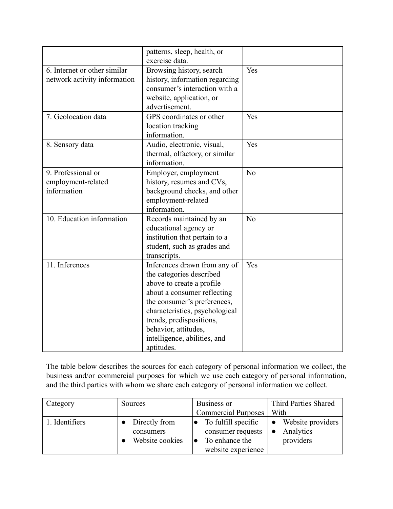|                              | patterns, sleep, health, or<br>exercise data. |     |
|------------------------------|-----------------------------------------------|-----|
|                              |                                               |     |
| 6. Internet or other similar | Browsing history, search                      | Yes |
| network activity information | history, information regarding                |     |
|                              | consumer's interaction with a                 |     |
|                              | website, application, or                      |     |
|                              | advertisement.                                |     |
| 7. Geolocation data          | GPS coordinates or other                      | Yes |
|                              |                                               |     |
|                              | location tracking                             |     |
|                              | information.                                  |     |
| 8. Sensory data              | Audio, electronic, visual,                    | Yes |
|                              | thermal, olfactory, or similar                |     |
|                              | information.                                  |     |
| 9. Professional or           | Employer, employment                          | No  |
| employment-related           | history, resumes and CVs,                     |     |
| information                  | background checks, and other                  |     |
|                              |                                               |     |
|                              | employment-related                            |     |
|                              | information.                                  |     |
| 10. Education information    | Records maintained by an                      | No  |
|                              | educational agency or                         |     |
|                              | institution that pertain to a                 |     |
|                              | student, such as grades and                   |     |
|                              | transcripts.                                  |     |
| 11. Inferences               | Inferences drawn from any of                  | Yes |
|                              | the categories described                      |     |
|                              | above to create a profile                     |     |
|                              | about a consumer reflecting                   |     |
|                              | the consumer's preferences,                   |     |
|                              | characteristics, psychological                |     |
|                              | trends, predispositions,                      |     |
|                              | behavior, attitudes,                          |     |
|                              | intelligence, abilities, and                  |     |
|                              | aptitudes.                                    |     |

The table below describes the sources for each category of personal information we collect, the business and/or commercial purposes for which we use each category of personal information, and the third parties with whom we share each category of personal information we collect.

| Category       | Sources                                       | Business or                                                                      | Third Parties Shared                          |
|----------------|-----------------------------------------------|----------------------------------------------------------------------------------|-----------------------------------------------|
|                |                                               | <b>Commercial Purposes</b>                                                       | With                                          |
| 1. Identifiers | Directly from<br>consumers<br>Website cookies | To fulfill specific<br>consumer requests<br>To enhance the<br>website experience | • Website providers<br>Analytics<br>providers |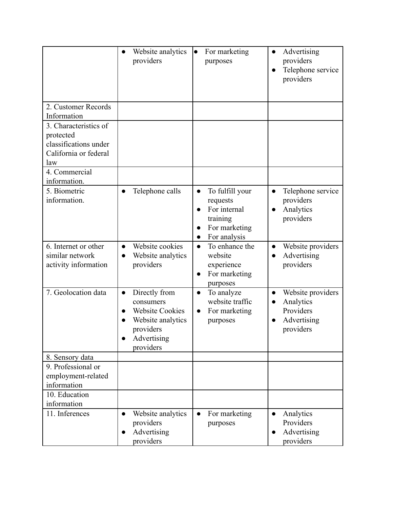|                                                                                             | Website analytics<br>$\bullet$<br>providers                                                                                     | For marketing<br>$\bullet$<br>purposes                                                                                          | Advertising<br>$\bullet$<br>providers<br>Telephone service<br>providers                           |
|---------------------------------------------------------------------------------------------|---------------------------------------------------------------------------------------------------------------------------------|---------------------------------------------------------------------------------------------------------------------------------|---------------------------------------------------------------------------------------------------|
| 2. Customer Records<br>Information                                                          |                                                                                                                                 |                                                                                                                                 |                                                                                                   |
| 3. Characteristics of<br>protected<br>classifications under<br>California or federal<br>law |                                                                                                                                 |                                                                                                                                 |                                                                                                   |
| 4. Commercial<br>information.                                                               |                                                                                                                                 |                                                                                                                                 |                                                                                                   |
| 5. Biometric<br>information.                                                                | Telephone calls<br>$\bullet$                                                                                                    | To fulfill your<br>$\bullet$<br>requests<br>For internal<br>$\bullet$<br>training<br>For marketing<br>For analysis<br>$\bullet$ | Telephone service<br>$\bullet$<br>providers<br>Analytics<br>$\bullet$<br>providers                |
| 6. Internet or other<br>similar network<br>activity information                             | Website cookies<br>Website analytics<br>$\bullet$<br>providers                                                                  | To enhance the<br>$\bullet$<br>website<br>experience<br>For marketing<br>$\bullet$<br>purposes                                  | Website providers<br>Advertising<br>providers                                                     |
| 7. Geolocation data                                                                         | Directly from<br>$\bullet$<br>consumers<br><b>Website Cookies</b><br>Website analytics<br>providers<br>Advertising<br>providers | To analyze<br>$\bullet$<br>website traffic<br>For marketing<br>$\bullet$<br>purposes                                            | Website providers<br>$\bullet$<br>Analytics<br>$\bullet$<br>Providers<br>Advertising<br>providers |
| 8. Sensory data<br>9. Professional or<br>employment-related<br>information                  |                                                                                                                                 |                                                                                                                                 |                                                                                                   |
| 10. Education<br>information                                                                |                                                                                                                                 |                                                                                                                                 |                                                                                                   |
| 11. Inferences                                                                              | Website analytics<br>$\bullet$<br>providers<br>Advertising<br>providers                                                         | For marketing<br>$\bullet$<br>purposes                                                                                          | Analytics<br>$\bullet$<br>Providers<br>Advertising<br>providers                                   |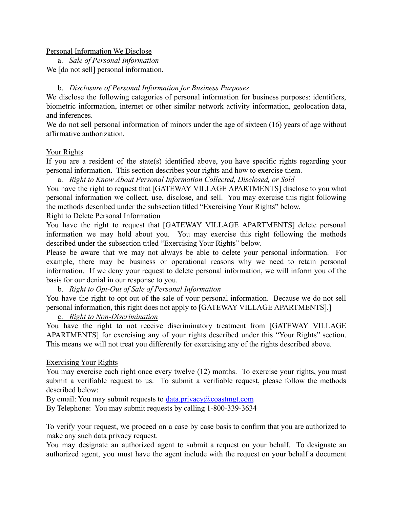### Personal Information We Disclose

a. *Sale of Personal Information* We *[do not sell]* personal information.

## b. *Disclosure of Personal Information for Business Purposes*

We disclose the following categories of personal information for business purposes: identifiers, biometric information, internet or other similar network activity information, geolocation data, and inferences.

We do not sell personal information of minors under the age of sixteen (16) years of age without affirmative authorization.

### Your Rights

If you are a resident of the state(s) identified above, you have specific rights regarding your personal information. This section describes your rights and how to exercise them.

a. *Right to Know About Personal Information Collected, Disclosed, or Sold*

You have the right to request that [GATEWAY VILLAGE APARTMENTS] disclose to you what personal information we collect, use, disclose, and sell. You may exercise this right following the methods described under the subsection titled "Exercising Your Rights" below.

### Right to Delete Personal Information

You have the right to request that [GATEWAY VILLAGE APARTMENTS] delete personal information we may hold about you. You may exercise this right following the methods described under the subsection titled "Exercising Your Rights" below.

Please be aware that we may not always be able to delete your personal information. For example, there may be business or operational reasons why we need to retain personal information. If we deny your request to delete personal information, we will inform you of the basis for our denial in our response to you.

## b. *Right to Opt-Out of Sale of Personal Information*

You have the right to opt out of the sale of your personal information. Because we do not sell personal information, this right does not apply to [GATEWAY VILLAGE APARTMENTS].]

#### c. *Right to Non-Discrimination*

You have the right to not receive discriminatory treatment from [GATEWAY VILLAGE APARTMENTS] for exercising any of your rights described under this "Your Rights" section. This means we will not treat you differently for exercising any of the rights described above.

## Exercising Your Rights

You may exercise each right once every twelve (12) months. To exercise your rights, you must submit a verifiable request to us. To submit a verifiable request, please follow the methods described below:

By email: You may submit requests to  $data.privacy@costmgt.com$ 

By Telephone: You may submit requests by calling 1-800-339-3634

To verify your request, we proceed on a case by case basis to confirm that you are authorized to make any such data privacy request.

You may designate an authorized agent to submit a request on your behalf. To designate an authorized agent, you must have the agent include with the request on your behalf a document